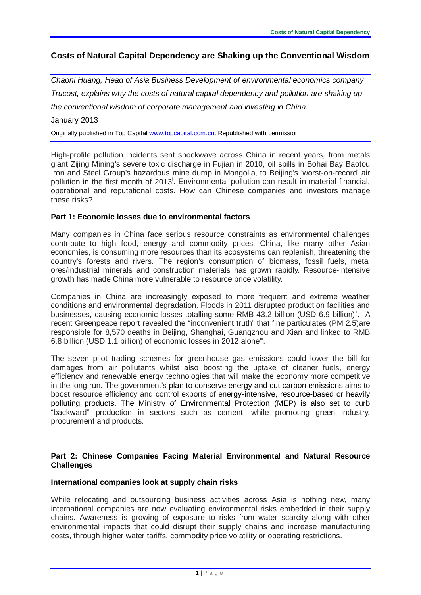# **Costs of Natural Capital Dependency are Shaking up the Conventional Wisdom**

*Chaoni Huang, Head of Asia Business Development of environmental economics company Trucost, explains why the costs of natural capital dependency and pollution are shaking up the conventional wisdom of corporate management and investing in China.* January 2013

Originally published in Top Capital [www.topcapital.com.cn.](http://www.topcapital.com.cn/) Republished with permission

High-profile pollution incidents sent shockwave across China in recent years, from metals giant Zijing Mining's severe toxic discharge in Fujian in 2010, oil spills in Bohai Bay Baotou Iron and Steel Group's hazardous mine dump in Mongolia, to Beijing's 'worst-on-record' air pollut[i](#page-5-0)on in the first month of 2013<sup>†</sup>. Environmental pollution can result in material financial, operational and reputational costs. How can Chinese companies and investors manage these risks?

### **Part 1: Economic losses due to environmental factors**

Many companies in China face serious resource constraints as environmental challenges contribute to high food, energy and commodity prices. China, like many other Asian economies, is consuming more resources than its ecosystems can replenish, threatening the country's forests and rivers. The region's consumption of biomass, fossil fuels, metal ores/industrial minerals and construction materials has grown rapidly. Resource-intensive growth has made China more vulnerable to resource price volatility.

Companies in China are increasingly exposed to more frequent and extreme weather conditions and environmental degradation. Floods in 2011 disrupted production facilities and businesses, causing economic losses totalling some RMB 43.2 billion (USD 6.9 billion)<sup>[ii](#page-5-1)</sup>. A recent Greenpeace report revealed the "inconvenient truth" that fine particulates (PM 2.5)are responsible for 8,570 deaths in Beijing, Shanghai, Guangzhou and Xian and linked to RMB 6.8 billion (USD 1.1 billion) of economic losses in 2012 alone<sup>ii</sup>.

The seven pilot trading schemes for greenhouse gas emissions could lower the bill for damages from air pollutants whilst also boosting the uptake of cleaner fuels, energy efficiency and renewable energy technologies that will make the economy more competitive in the long run. The government's plan to conserve energy and cut carbon emissions aims to boost resource efficiency and control exports of energy-intensive, resource-based or heavily polluting products. The Ministry of Environmental Protection (MEP) is also set to curb "backward" production in sectors such as cement, while promoting green industry, procurement and products.

## **Part 2: Chinese Companies Facing Material Environmental and Natural Resource Challenges**

#### **International companies look at supply chain risks**

While relocating and outsourcing business activities across Asia is nothing new, many international companies are now evaluating environmental risks embedded in their supply chains. Awareness is growing of exposure to risks from water scarcity along with other environmental impacts that could disrupt their supply chains and increase manufacturing costs, through higher water tariffs, commodity price volatility or operating restrictions.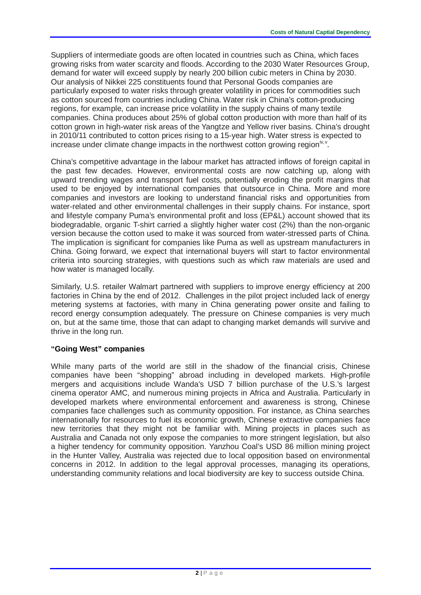Suppliers of intermediate goods are often located in countries such as China, which faces growing risks from water scarcity and floods. According to the 2030 Water Resources Group, demand for water will exceed supply by nearly 200 billion cubic meters in China by 2030. Our analysis of Nikkei 225 constituents found that Personal Goods companies are particularly exposed to water risks through greater volatility in prices for commodities such as cotton sourced from countries including China. Water risk in China's cotton-producing regions, for example, can increase price volatility in the supply chains of many textile companies. China produces about 25% of global cotton production with more than half of its cotton grown in high-water risk areas of the Yangtze and Yellow river basins. China's drought in 2010/11 contributed to cotton prices rising to a 15-year high. Water stress is expected to increase under climate change impacts in the northwest cotton growing region<sup>[iv,](#page-5-3) [v](#page-5-4)</sup>.

China's competitive advantage in the labour market has attracted inflows of foreign capital in the past few decades. However, environmental costs are now catching up, along with upward trending wages and transport fuel costs, potentially eroding the profit margins that used to be enjoyed by international companies that outsource in China. More and more companies and investors are looking to understand financial risks and opportunities from water-related and other environmental challenges in their supply chains. For instance, sport and lifestyle company Puma's environmental profit and loss (EP&L) account showed that its biodegradable, organic T-shirt carried a slightly higher water cost (2%) than the non-organic version because the cotton used to make it was sourced from water-stressed parts of China. The implication is significant for companies like Puma as well as upstream manufacturers in China. Going forward, we expect that international buyers will start to factor environmental criteria into sourcing strategies, with questions such as which raw materials are used and how water is managed locally.

Similarly, U.S. retailer Walmart partnered with suppliers to improve energy efficiency at 200 factories in China by the end of 2012. Challenges in the pilot project included lack of energy metering systems at factories, with many in China generating power onsite and failing to record energy consumption adequately. The pressure on Chinese companies is very much on, but at the same time, those that can adapt to changing market demands will survive and thrive in the long run.

## **"Going West" companies**

While many parts of the world are still in the shadow of the financial crisis, Chinese companies have been "shopping" abroad including in developed markets. High-profile mergers and acquisitions include Wanda's USD 7 billion purchase of the U.S.'s largest cinema operator AMC, and numerous mining projects in Africa and Australia. Particularly in developed markets where environmental enforcement and awareness is strong, Chinese companies face challenges such as community opposition. For instance, as China searches internationally for resources to fuel its economic growth, Chinese extractive companies face new territories that they might not be familiar with. Mining projects in places such as Australia and Canada not only expose the companies to more stringent legislation, but also a higher tendency for community opposition. Yanzhou Coal's USD 86 million mining project in the Hunter Valley, Australia was rejected due to local opposition based on environmental concerns in 2012. In addition to the legal approval processes, managing its operations, understanding community relations and local biodiversity are key to success outside China.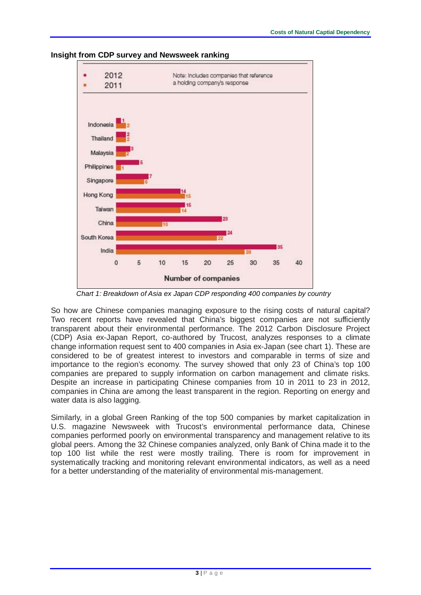

#### **Insight from CDP survey and Newsweek ranking**

*Chart 1: Breakdown of Asia ex Japan CDP responding 400 companies by country*

So how are Chinese companies managing exposure to the rising costs of natural capital? Two recent reports have revealed that China's biggest companies are not sufficiently transparent about their environmental performance. The 2012 Carbon Disclosure Project (CDP) Asia ex-Japan Report, co-authored by Trucost, analyzes responses to a climate change information request sent to 400 companies in Asia ex-Japan (see chart 1). These are considered to be of greatest interest to investors and comparable in terms of size and importance to the region's economy. The survey [showed that only 23](http://www.chinadialogue.net/weblogs/4/weblog_posts/401) of China's top 100 [companies](http://www.chinadialogue.net/weblogs/4/weblog_posts/401) are prepared to supply information on carbon management and climate risks. Despite an increase in participating Chinese companies from 10 in 2011 to 23 in 2012, companies in China are among the least transparent in the region. Reporting on energy and water data is also lagging.

Similarly, in a global Green Ranking of the top 500 companies by market capitalization in U.S. magazine Newsweek with Trucost's environmental performance data, Chinese companies performed poorly on environmental transparency and management relative to its global peers. Among the 32 Chinese companies analyzed, only Bank of China made it to the top 100 list while the rest were mostly trailing. There is room for improvement in systematically tracking and monitoring relevant environmental indicators, as well as a need for a better understanding of the materiality of environmental mis-management.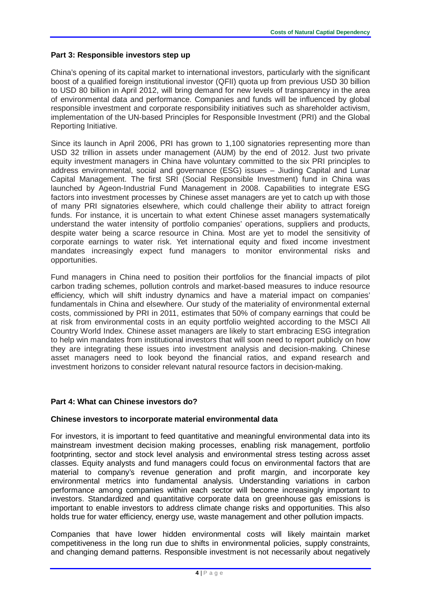### **Part 3: Responsible investors step up**

China's opening of its capital market to international investors, particularly with the significant boost of a qualified foreign institutional investor (QFII) quota up from previous USD 30 billion to USD 80 billion in April 2012, will bring demand for new levels of transparency in the area of environmental data and performance. Companies and funds will be influenced by global responsible investment and corporate responsibility initiatives such as shareholder activism, implementation of the UN-based Principles for Responsible Investment (PRI) and the Global Reporting Initiative.

Since its launch in April 2006, PRI has grown to 1,100 signatories representing more than USD 32 trillion in assets under management (AUM) by the end of 2012. Just two private equity investment managers in China have voluntary committed to the six PRI principles to address environmental, social and governance (ESG) issues – Jiuding Capital and Lunar Capital Management. The first SRI (Social Responsible Investment) fund in China was launched by Ageon-Industrial Fund Management in 2008. Capabilities to integrate ESG factors into investment processes by Chinese asset managers are yet to catch up with those of many PRI signatories elsewhere, which could challenge their ability to attract foreign funds. For instance, it is uncertain to what extent Chinese asset managers systematically understand the water intensity of portfolio companies' operations, suppliers and products, despite water being a scarce resource in China. Most are yet to model the sensitivity of corporate earnings to water risk. Yet international equity and fixed income investment mandates increasingly expect fund managers to monitor environmental risks and opportunities.

Fund managers in China need to position their portfolios for the financial impacts of pilot carbon trading schemes, pollution controls and market-based measures to induce resource efficiency, which will shift industry dynamics and have a material impact on companies' fundamentals in China and elsewhere. Our study of the materiality of environmental external costs, commissioned by PRI in 2011, estimates that 50% of company earnings that could be at risk from environmental costs in an equity portfolio weighted according to the MSCI All Country World Index. Chinese asset managers are likely to start embracing ESG integration to help win mandates from institutional investors that will soon need to report publicly on how they are integrating these issues into investment analysis and decision-making. Chinese asset managers need to look beyond the financial ratios, and expand research and investment horizons to consider relevant natural resource factors in decision-making.

## **Part 4: What can Chinese investors do?**

#### **Chinese investors to incorporate material environmental data**

For investors, it is important to feed quantitative and meaningful environmental data into its mainstream investment decision making processes, enabling risk management, portfolio footprinting, sector and stock level analysis and environmental stress testing across asset classes. Equity analysts and fund managers could focus on environmental factors that are material to company's revenue generation and profit margin, and incorporate key environmental metrics into fundamental analysis. Understanding variations in carbon performance among companies within each sector will become increasingly important to investors. Standardized and quantitative corporate data on greenhouse gas emissions is important to enable investors to address climate change risks and opportunities. This also holds true for water efficiency, energy use, waste management and other pollution impacts.

Companies that have lower hidden environmental costs will likely maintain market competitiveness in the long run due to shifts in environmental policies, supply constraints, and changing demand patterns. Responsible investment is not necessarily about negatively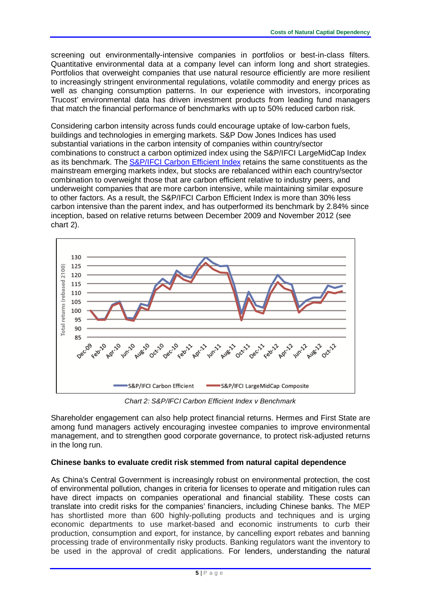screening out environmentally-intensive companies in portfolios or best-in-class filters. Quantitative environmental data at a company level can inform long and short strategies. Portfolios that overweight companies that use natural resource efficiently are more resilient to increasingly stringent environmental regulations, volatile commodity and energy prices as well as changing consumption patterns. In our experience with investors, incorporating Trucost' environmental data has driven investment products from leading fund managers that match the financial performance of benchmarks with up to 50% reduced carbon risk.

Considering carbon intensity across funds could encourage uptake of low-carbon fuels, buildings and technologies in emerging markets. S&P Dow Jones Indices has used substantial variations in the carbon intensity of companies within country/sector combinations to construct a carbon optimized index using the S&P/IFCI LargeMidCap Index as its benchmark. The [S&P/IFCI Carbon Efficient Index](http://www.standardandpoors.com/indices/sp-ifci-carbon-efficient/en/us/?indexId=sp-ifci-carbon-efficient) retains the same constituents as the mainstream emerging markets index, but stocks are rebalanced within each country/sector combination to overweight those that are carbon efficient relative to industry peers, and underweight companies that are more carbon intensive, while maintaining similar exposure to other factors. As a result, the S&P/IFCI Carbon Efficient Index is more than 30% less carbon intensive than the parent index, and has outperformed its benchmark by 2.84% since inception, based on relative returns between December 2009 and November 2012 (see chart 2).



*Chart 2: S&P/IFCI Carbon Efficient Index v Benchmark*

Shareholder engagement can also help protect financial returns. Hermes and First State are among fund managers actively encouraging investee companies to improve environmental management, and to strengthen good corporate governance, to protect risk-adjusted returns in the long run.

## **Chinese banks to evaluate credit risk stemmed from natural capital dependence**

As China's Central Government is increasingly robust on environmental protection, the cost of environmental pollution, changes in criteria for licenses to operate and mitigation rules can have direct impacts on companies operational and financial stability. These costs can translate into credit risks for the companies' financiers, including Chinese banks. The MEP has shortlisted more than 600 highly-polluting products and techniques and is urging economic departments to use market-based and economic instruments to curb their production, consumption and export, for instance, by cancelling export rebates and banning processing trade of environmentally risky products. Banking regulators want the inventory to be used in the approval of credit applications. For lenders, understanding the natural